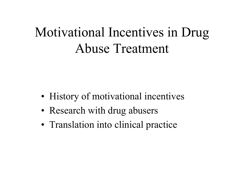# Motivational Incentives in Drug Abuse Treatment

- •• History of motivational incentives
- •• Research with drug abusers
- •• Translation into clinical practice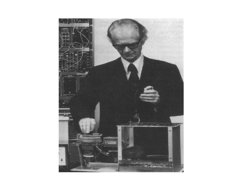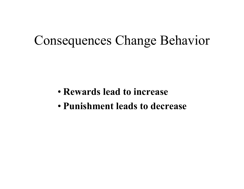## Consequences Change Behavior

- **Rewards lead t o i ncrease**
- **Punishment leads to decrease**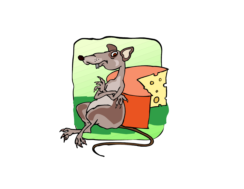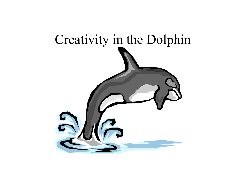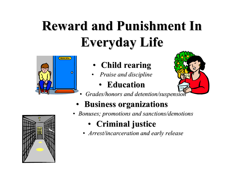# **Reward and Punishment In Everyday Life**



## • Child rearing

- Praise and discipline
	- Education



Grades/honors and detention/suspension

### **Business organizations**

• Bonuses; promotions and sanctions/demotions

### • Criminal justice

• Arrest/incarceration and early release

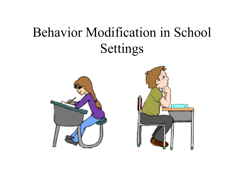# Behavior Modification in School Settings



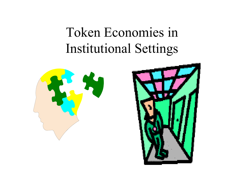# Token Economies in Institutional Settings



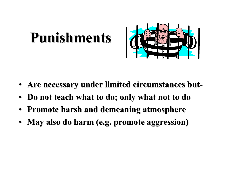# **Punishments Punishments**



- Are necessary under limited circumstances but-
- •**• Do not teach what to do; only what not to do**
- **Promote harsh and demeaning atmosphere Promote harsh and demeaning atmosphere**
- **May also do harm (e.g. promote aggression) so do harm (e.g. promote aggression)**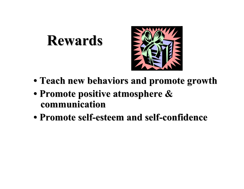# **Rewards Rewards**



- **• Teach new beh Teach new behaviors and promote growth and promote growth**
- **• Promote positive atm tive atmosphere & sphere & communication**
- Promote self-esteem and self-confidence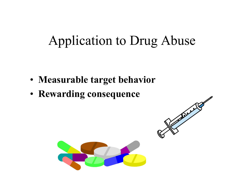## Application to Drug Abuse

Collaboration of California

- **Measurable target behavior**
- **Rewarding consequence**

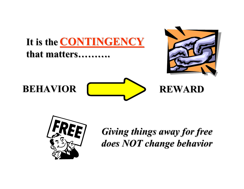



## Giving things away for free does NOT change behavior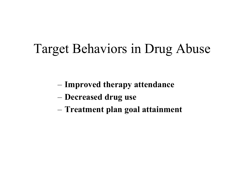## Target Behaviors in Drug Abuse

- **Improved therapy attendance**
- **Decreased drug use**
- **Treatment plan goal attainment**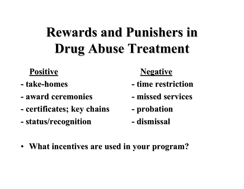# **Rewards and Punishers in Drug Abuse Treatment Drug Abuse Treatment**

### **Positive Positive**

- **- take-homes**
- **-award ceremonies ard ceremonies**
- **certificates; key chains certificates; key chains**
- **status/recognition status/recognition**

### **Negative Negative**

- **- time restriction time restriction**
- **- missed services missed services**
- **probation probation**
- **- dismissal dismissal**
- What incentives are used in your program?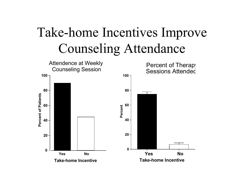# Take-home Incentives Improve Counseling Attendance

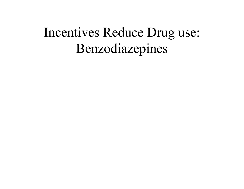## Incentives Reduce Drug use: Benzodiazepines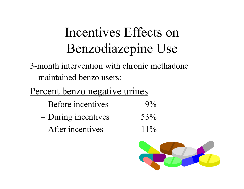# Incentives Effects on Benzodiazepine Use

3-month intervent ion with chronic methadone maintained benzo users:

## Percent benzo negative urines

- $-$  Before incentives  $9\%$
- During inc entive s53%
- –After incentives



 $11\%$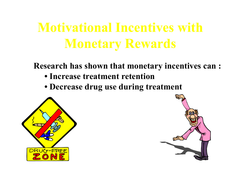# **Motivational Incentives with Monetary Rewards**

**Research has shown that monetary incentives can :**

- **Increase treatment retention**
- **• Decrease drug use during treatment**



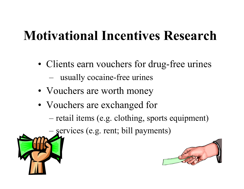## **Motivational Incentives Research**

- •• Clients earn vouchers for drug-free urines – usually cocaine-free urines
- •• Vouchers are worth money
- • Vouchers are exchanged for
	- retail item s (e.g. clothing, sport s equipment)
		- services (e.g. rent; bil l payments)

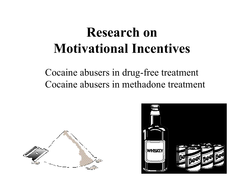# **Research on Motivational Incentives**

Cocaine abusers i n drug-free treatment Cocaine abusers i n met hadone treatment



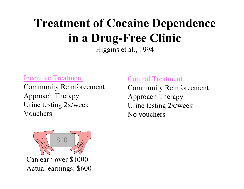# **Treatment of Cocaine Dependence in a Drug-Free Clinic**

Higgins et al., 1994

#### Incentive T reatment

Community Reinforcement Approach T herapy Urine tes ting 2x/week Vouchers

#### Control Tr e atment

Community Reinforcement Approach T herapy Urine tes ting 2x/week No vouchers



Can earn over \$1000 Actual earnings: \$600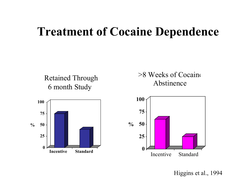## **Treatment of Cocaine Dependence**

### Retained Through 6 month Study

#### >8 Weeks of Cocaine Abstinence





Higgins et al., 1994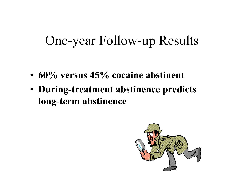## One-year Follow-up Results

- **60%** versus 45% cocaine abstinent
- **During-treatment abstinence predicts long-term abs tinence**

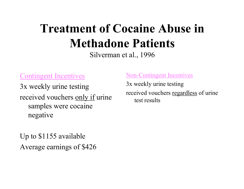## **Treatment of Cocaine Abuse in Methadone Patients** Silverman et al., 1996

#### **Contingent Incentives**

3x weekly urine testing received vouchers only if urine samples were cocaine negative

Up to  $$1155$  available Average earnings of \$426

#### **Non-Contingent Incentives**

3x weekly urine testing received vouchers regardless of urine test results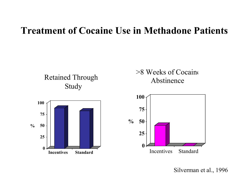### **Treatment of Cocaine Use in Met hadone Patients**

#### Retained Through Study

#### >8 Weeks of Cocaine Abstinence



Silve r m an et al., 1996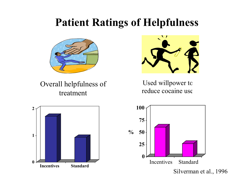## **Patient Ratings of Helpfulness**



#### Overall helpfulness of treatment



Used willpower to reduce cocaine use



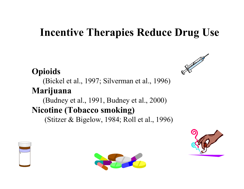## **Incentive Therapies Reduce Drug Use**

## **Opioids**

(Bickel et al., 1997; Silverm an et al., 1996)

### **Marijuana**

(Budney et al., 1991, Budney et al., 2000) **Nicotine ( Tobacco smo king)**

(Stitzer & Bigelow, 1984; Roll et al., 1996)







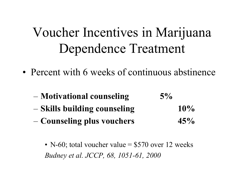# Voucher Incentives in Marijuana Dependence Treatment

- Percent with 6 weeks of continuous abstinence
	- **Motivational counseling 5%**
	- **Skills building counseling 10%**
	- **Counseling plus vouchers 45%**

• N-60; total voucher value = \$570 over 12 weeks *Budney et al. JCCP, 68, 1051-61, 2000*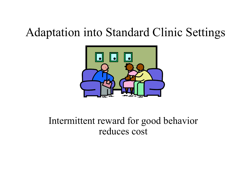## Adaptation into Standard Clinic Settings



### Intermittent rewar d for good behavior reduces cost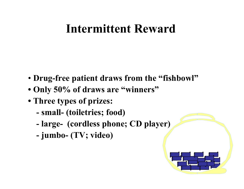## **Intermittent Reward**

- **Drug-free patient draws from the "fishbow l "**
- **Only 50% of draws are "winners"**
- **Three types of prizes:**
	- **- small- (toiletries; food)**
	- **- large- (cordless phone; CD player)**
	- **- jumbo- (TV; video)**

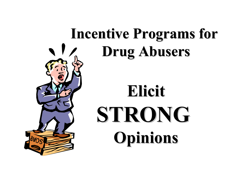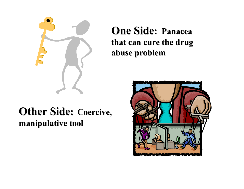

## **Other Side: Coercive, manipulative tool manipulative tool**

### **One Side: Panacea that can cure the drug that can cure the drug abuse problem abuse problem**

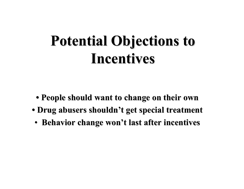# **Potential Objections to Potential Objections to Incentives Incentives**

- People should want to change on their own
- **Drug abusers shouldn't get special treatment Drug abusers shouldn't get special treatment**
	- **Behavior change won't last after incentives**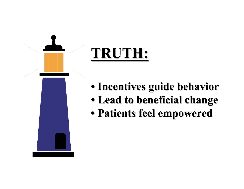

**• Incentives guide behavior • Incentives guide behavior** 

**TRUTH:**

- **Lead to beneficial change Lead to beneficial change**
- **Patients feel empowered Patients feel empowered**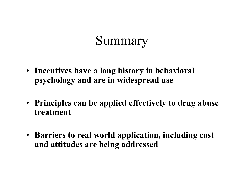## Summary

- **Incentives have a long history in behavioral psychology and are in widespread use**
- **Principles can be applied effectively to drug abuse treatment**
- **Barriers to real world application, including cost and attitudes are being addressed**